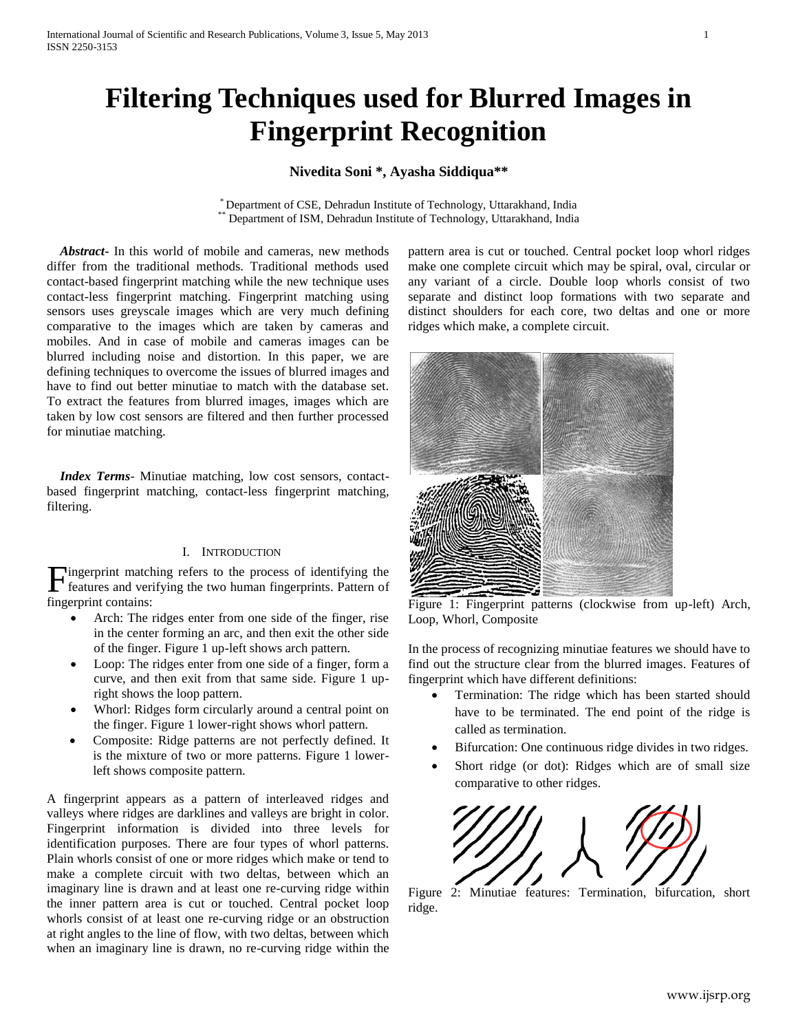# **Filtering Techniques used for Blurred Images in Fingerprint Recognition**

# **Nivedita Soni \*, Ayasha Siddiqua\*\***

\* Department of CSE, Dehradun Institute of Technology, Uttarakhand, India Department of ISM, Dehradun Institute of Technology, Uttarakhand, India

 *Abstract***-** In this world of mobile and cameras, new methods differ from the traditional methods. Traditional methods used contact-based fingerprint matching while the new technique uses contact-less fingerprint matching. Fingerprint matching using sensors uses greyscale images which are very much defining comparative to the images which are taken by cameras and mobiles. And in case of mobile and cameras images can be blurred including noise and distortion. In this paper, we are defining techniques to overcome the issues of blurred images and have to find out better minutiae to match with the database set. To extract the features from blurred images, images which are taken by low cost sensors are filtered and then further processed for minutiae matching.

 *Index Terms*- Minutiae matching, low cost sensors, contactbased fingerprint matching, contact-less fingerprint matching, filtering.

# I. INTRODUCTION

Fingerprint matching refers to the process of identifying the features and verifying the two human fingerprints. Pattern of features and verifying the two human fingerprints. Pattern of fingerprint contains:

- Arch: The ridges enter from one side of the finger, rise in the center forming an arc, and then exit the other side of the finger. Figure 1 up-left shows arch pattern.
- Loop: The ridges enter from one side of a finger, form a curve, and then exit from that same side. Figure 1 upright shows the loop pattern.
- Whorl: Ridges form circularly around a central point on the finger. Figure 1 lower-right shows whorl pattern.
- Composite: Ridge patterns are not perfectly defined. It is the mixture of two or more patterns. Figure 1 lowerleft shows composite pattern.

A fingerprint appears as a pattern of interleaved ridges and valleys where ridges are darklines and valleys are bright in color. Fingerprint information is divided into three levels for identification purposes. There are four types of whorl patterns. Plain whorls consist of one or more ridges which make or tend to make a complete circuit with two deltas, between which an imaginary line is drawn and at least one re-curving ridge within the inner pattern area is cut or touched. Central pocket loop whorls consist of at least one re-curving ridge or an obstruction at right angles to the line of flow, with two deltas, between which when an imaginary line is drawn, no re-curving ridge within the pattern area is cut or touched. Central pocket loop whorl ridges make one complete circuit which may be spiral, oval, circular or any variant of a circle. Double loop whorls consist of two separate and distinct loop formations with two separate and distinct shoulders for each core, two deltas and one or more ridges which make, a complete circuit.



Figure 1: Fingerprint patterns (clockwise from up-left) Arch, Loop, Whorl, Composite

In the process of recognizing minutiae features we should have to find out the structure clear from the blurred images. Features of fingerprint which have different definitions:

- Termination: The ridge which has been started should have to be terminated. The end point of the ridge is called as termination.
- Bifurcation: One continuous ridge divides in two ridges.
- Short ridge (or dot): Ridges which are of small size comparative to other ridges.



Figure 2: Minutiae features: Termination, bifurcation, short ridge.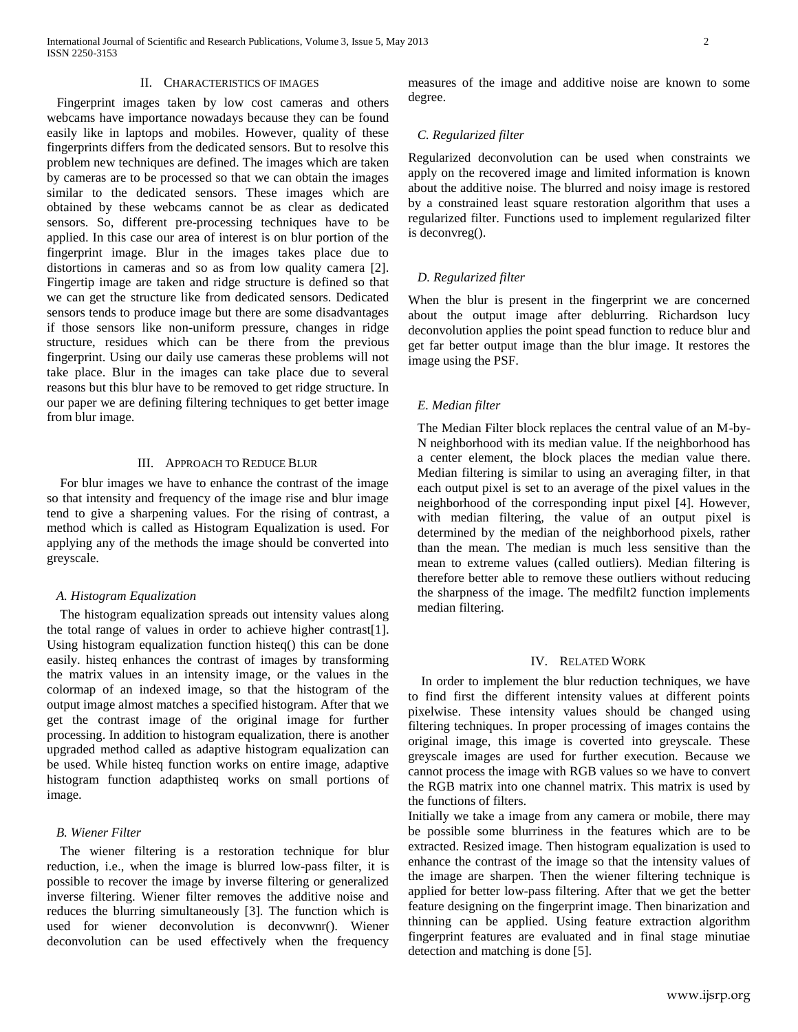### II. CHARACTERISTICS OF IMAGES

 Fingerprint images taken by low cost cameras and others webcams have importance nowadays because they can be found easily like in laptops and mobiles. However, quality of these fingerprints differs from the dedicated sensors. But to resolve this problem new techniques are defined. The images which are taken by cameras are to be processed so that we can obtain the images similar to the dedicated sensors. These images which are obtained by these webcams cannot be as clear as dedicated sensors. So, different pre-processing techniques have to be applied. In this case our area of interest is on blur portion of the fingerprint image. Blur in the images takes place due to distortions in cameras and so as from low quality camera [2]. Fingertip image are taken and ridge structure is defined so that we can get the structure like from dedicated sensors. Dedicated sensors tends to produce image but there are some disadvantages if those sensors like non-uniform pressure, changes in ridge structure, residues which can be there from the previous fingerprint. Using our daily use cameras these problems will not take place. Blur in the images can take place due to several reasons but this blur have to be removed to get ridge structure. In our paper we are defining filtering techniques to get better image from blur image.

## III. APPROACH TO REDUCE BLUR

 For blur images we have to enhance the contrast of the image so that intensity and frequency of the image rise and blur image tend to give a sharpening values. For the rising of contrast, a method which is called as Histogram Equalization is used. For applying any of the methods the image should be converted into greyscale.

#### *A. Histogram Equalization*

 The histogram equalization spreads out intensity values along the total range of values in order to achieve higher contrast[1]. Using histogram equalization function histeq() this can be done easily. histeq enhances the contrast of images by transforming the matrix values in an intensity image, or the values in the colormap of an indexed image, so that the histogram of the output image almost matches a specified histogram. After that we get the contrast image of the original image for further processing. In addition to histogram equalization, there is another upgraded method called as adaptive histogram equalization can be used. While histeq function works on entire image, adaptive histogram function adapthisteq works on small portions of image.

### *B. Wiener Filter*

 The wiener filtering is a restoration technique for blur reduction, i.e., when the image is blurred low-pass filter, it is possible to recover the image by inverse filtering or generalized inverse filtering. Wiener filter removes the additive noise and reduces the blurring simultaneously [3]. The function which is used for wiener deconvolution is deconvwnr(). Wiener deconvolution can be used effectively when the frequency

measures of the image and additive noise are known to some degree.

#### *C. Regularized filter*

Regularized deconvolution can be used when constraints we apply on the recovered image and limited information is known about the additive noise. The blurred and noisy image is restored by a constrained least square restoration algorithm that uses a regularized filter. Functions used to implement regularized filter is deconvreg().

#### *D. Regularized filter*

When the blur is present in the fingerprint we are concerned about the output image after deblurring. Richardson lucy deconvolution applies the point spead function to reduce blur and get far better output image than the blur image. It restores the image using the PSF.

#### *E. Median filter*

The Median Filter block replaces the central value of an M-by-N neighborhood with its median value. If the neighborhood has a center element, the block places the median value there. Median filtering is similar to using an averaging filter, in that each output pixel is set to an average of the pixel values in the neighborhood of the corresponding input pixel [4]. However, with median filtering, the value of an output pixel is determined by the median of the neighborhood pixels, rather than the mean. The median is much less sensitive than the mean to extreme values (called outliers). Median filtering is therefore better able to remove these outliers without reducing the sharpness of the image. The medfilt2 function implements median filtering.

#### IV. RELATED WORK

 In order to implement the blur reduction techniques, we have to find first the different intensity values at different points pixelwise. These intensity values should be changed using filtering techniques. In proper processing of images contains the original image, this image is coverted into greyscale. These greyscale images are used for further execution. Because we cannot process the image with RGB values so we have to convert the RGB matrix into one channel matrix. This matrix is used by the functions of filters.

Initially we take a image from any camera or mobile, there may be possible some blurriness in the features which are to be extracted. Resized image. Then histogram equalization is used to enhance the contrast of the image so that the intensity values of the image are sharpen. Then the wiener filtering technique is applied for better low-pass filtering. After that we get the better feature designing on the fingerprint image. Then binarization and thinning can be applied. Using feature extraction algorithm fingerprint features are evaluated and in final stage minutiae detection and matching is done [5].